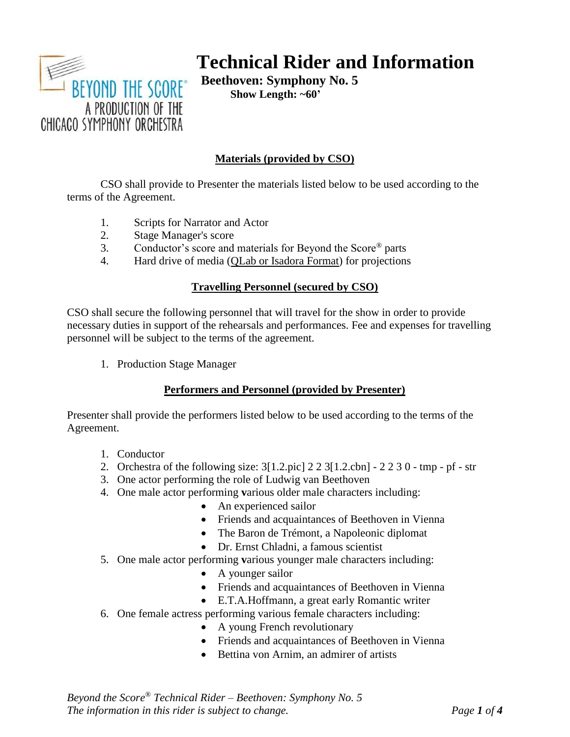

# **Technical Rider and Information**

**Beethoven: Symphony No. 5 Show Length: ~60'**

# **Materials (provided by CSO)**

CSO shall provide to Presenter the materials listed below to be used according to the terms of the Agreement.

- 1. Scripts for Narrator and Actor
- 2. Stage Manager's score
- 3. Conductor's score and materials for Beyond the Score® parts
- 4. Hard drive of media (QLab or Isadora Format) for projections

# **Travelling Personnel (secured by CSO)**

CSO shall secure the following personnel that will travel for the show in order to provide necessary duties in support of the rehearsals and performances. Fee and expenses for travelling personnel will be subject to the terms of the agreement.

1. Production Stage Manager

# **Performers and Personnel (provided by Presenter)**

Presenter shall provide the performers listed below to be used according to the terms of the Agreement.

- 1. Conductor
- 2. Orchestra of the following size: 3[1.2.pic] 2 2 3[1.2.cbn] 2 2 3 0 tmp pf str
- 3. One actor performing the role of Ludwig van Beethoven
- 4. One male actor performing **v**arious older male characters including:
	- An experienced sailor
	- Friends and acquaintances of Beethoven in Vienna
	- The Baron de Trémont, a Napoleonic diplomat
	- Dr. Ernst Chladni, a famous scientist
- 5. One male actor performing **v**arious younger male characters including:
	- A younger sailor
	- Friends and acquaintances of Beethoven in Vienna
	- E.T.A.Hoffmann, a great early Romantic writer
- 6. One female actress performing various female characters including:
	- A young French revolutionary
	- Friends and acquaintances of Beethoven in Vienna
	- Bettina von Arnim, an admirer of artists

*Beyond the Score® Technical Rider – Beethoven: Symphony No. 5 The information in this rider is subject to change. Page 1 of 4*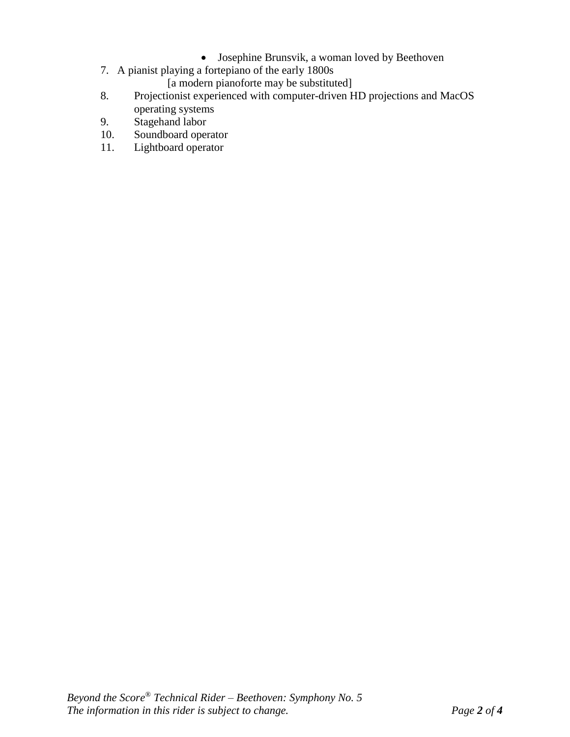- Josephine Brunsvik, a woman loved by Beethoven
- 7. A pianist playing a fortepiano of the early 1800s

[a modern pianoforte may be substituted]

- 8. Projectionist experienced with computer-driven HD projections and MacOS operating systems
- 9. Stagehand labor
- 10. Soundboard operator<br>11. Lightboard operator
- Lightboard operator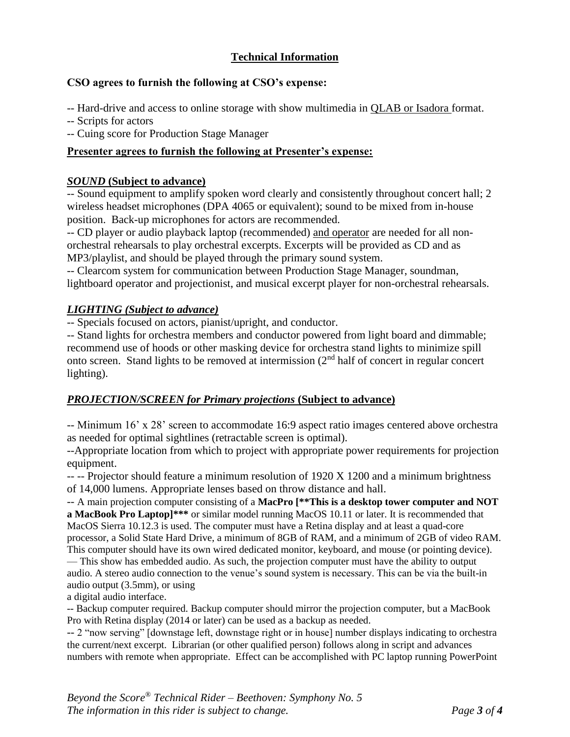# **Technical Information**

# **CSO agrees to furnish the following at CSO's expense:**

-- Hard-drive and access to online storage with show multimedia in QLAB or Isadora format.

-- Scripts for actors

-- Cuing score for Production Stage Manager

# **Presenter agrees to furnish the following at Presenter's expense:**

#### *SOUND* **(Subject to advance)**

-- Sound equipment to amplify spoken word clearly and consistently throughout concert hall; 2 wireless headset microphones (DPA 4065 or equivalent); sound to be mixed from in-house position. Back-up microphones for actors are recommended.

-- CD player or audio playback laptop (recommended) and operator are needed for all nonorchestral rehearsals to play orchestral excerpts. Excerpts will be provided as CD and as MP3/playlist, and should be played through the primary sound system.

-- Clearcom system for communication between Production Stage Manager, soundman, lightboard operator and projectionist, and musical excerpt player for non-orchestral rehearsals.

# *LIGHTING (Subject to advance)*

-- Specials focused on actors, pianist/upright, and conductor.

-- Stand lights for orchestra members and conductor powered from light board and dimmable; recommend use of hoods or other masking device for orchestra stand lights to minimize spill onto screen. Stand lights to be removed at intermission (2nd half of concert in regular concert lighting).

# *PROJECTION/SCREEN for Primary projections* **(Subject to advance)**

-- Minimum 16' x 28' screen to accommodate 16:9 aspect ratio images centered above orchestra as needed for optimal sightlines (retractable screen is optimal).

--Appropriate location from which to project with appropriate power requirements for projection equipment.

-- -- Projector should feature a minimum resolution of 1920 X 1200 and a minimum brightness of 14,000 lumens. Appropriate lenses based on throw distance and hall.

-- A main projection computer consisting of a **MacPro [\*\*This is a desktop tower computer and NOT a MacBook Pro Laptop]\*\*\*** or similar model running MacOS 10.11 or later. It is recommended that MacOS Sierra 10.12.3 is used. The computer must have a Retina display and at least a quad-core processor, a Solid State Hard Drive, a minimum of 8GB of RAM, and a minimum of 2GB of video RAM. This computer should have its own wired dedicated monitor, keyboard, and mouse (or pointing device). — This show has embedded audio. As such, the projection computer must have the ability to output

audio. A stereo audio connection to the venue's sound system is necessary. This can be via the built-in audio output (3.5mm), or using

a digital audio interface.

-- Backup computer required. Backup computer should mirror the projection computer, but a MacBook Pro with Retina display (2014 or later) can be used as a backup as needed.

-- 2 "now serving" [downstage left, downstage right or in house] number displays indicating to orchestra the current/next excerpt. Librarian (or other qualified person) follows along in script and advances numbers with remote when appropriate. Effect can be accomplished with PC laptop running PowerPoint